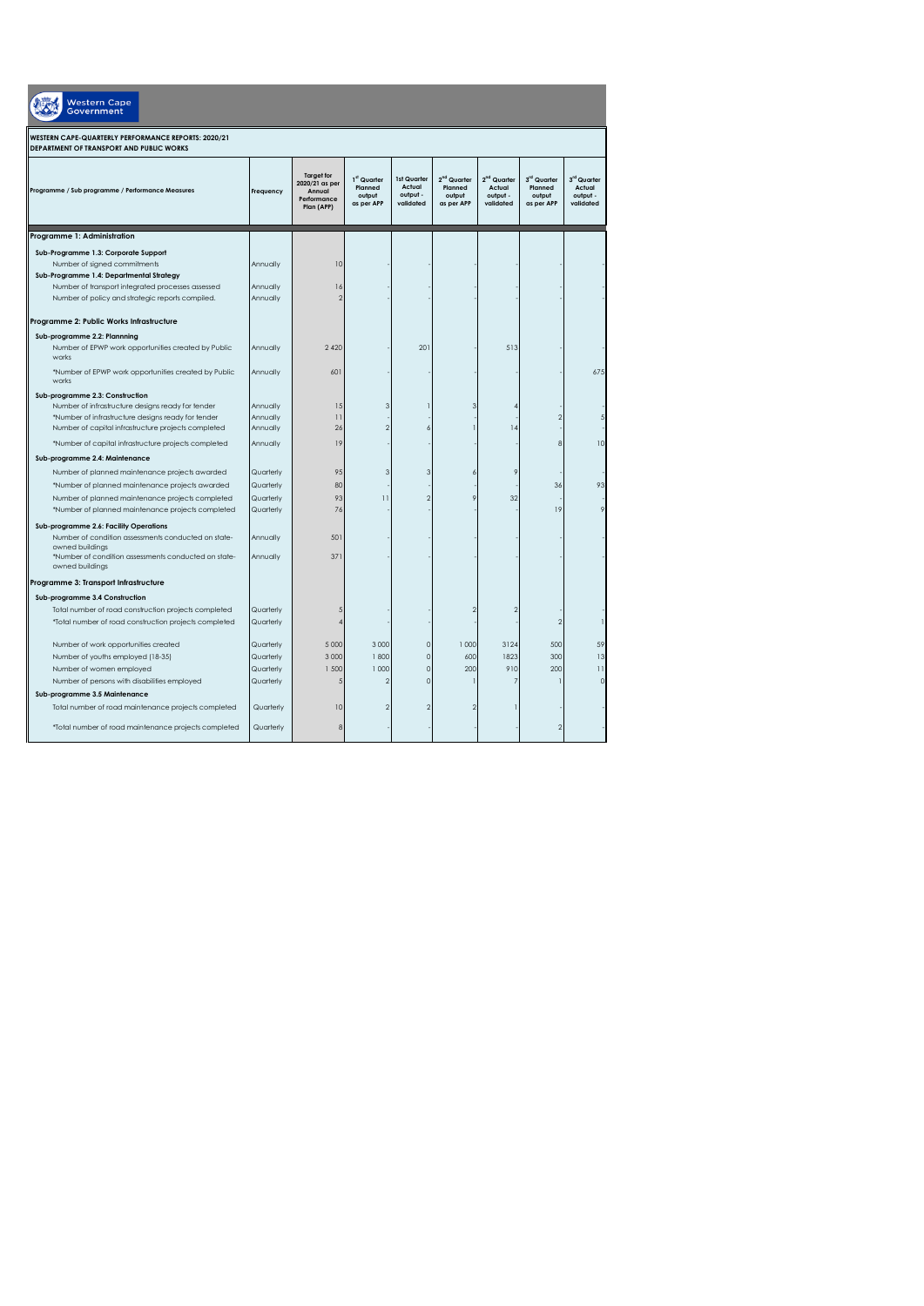| <b>Western Cape</b><br><b>Government</b>                                                        |           |                                                                            |                                                |                                                |                                                            |                                                            |                                                |                                                |  |  |  |
|-------------------------------------------------------------------------------------------------|-----------|----------------------------------------------------------------------------|------------------------------------------------|------------------------------------------------|------------------------------------------------------------|------------------------------------------------------------|------------------------------------------------|------------------------------------------------|--|--|--|
| WESTERN CAPE-QUARTERLY PERFORMANCE REPORTS: 2020/21<br>DEPARTMENT OF TRANSPORT AND PUBLIC WORKS |           |                                                                            |                                                |                                                |                                                            |                                                            |                                                |                                                |  |  |  |
| Programme / Sub programme / Performance Measures                                                | Frequency | <b>Target for</b><br>2020/21 as per<br>Annual<br>Performance<br>Plan (APP) | 1st Quarter<br>Planned<br>output<br>as per APP | 1st Quarter<br>Actual<br>output -<br>validated | 2 <sup>nd</sup> Quarter<br>Planned<br>output<br>as per APP | 2 <sup>nd</sup> Quarter<br>Actual<br>output -<br>validated | 3rd Quarter<br>Planned<br>output<br>as per APP | 3rd Quarter<br>Actual<br>output -<br>validated |  |  |  |
| Programme 1: Administration                                                                     |           |                                                                            |                                                |                                                |                                                            |                                                            |                                                |                                                |  |  |  |
| Sub-Programme 1.3: Corporate Support                                                            |           |                                                                            |                                                |                                                |                                                            |                                                            |                                                |                                                |  |  |  |
| Number of signed commitments                                                                    | Annually  | 10                                                                         |                                                |                                                |                                                            |                                                            |                                                |                                                |  |  |  |
| Sub-Programme 1.4: Departmental Strategy                                                        |           |                                                                            |                                                |                                                |                                                            |                                                            |                                                |                                                |  |  |  |
| Number of transport integrated processes assessed                                               | Annually  | 16                                                                         |                                                |                                                |                                                            |                                                            |                                                |                                                |  |  |  |
| Number of policy and strategic reports compiled.                                                | Annually  | 2                                                                          |                                                |                                                |                                                            |                                                            |                                                |                                                |  |  |  |
| Programme 2: Public Works Infrastructure                                                        |           |                                                                            |                                                |                                                |                                                            |                                                            |                                                |                                                |  |  |  |
|                                                                                                 |           |                                                                            |                                                |                                                |                                                            |                                                            |                                                |                                                |  |  |  |
| Sub-programme 2.2: Plannning<br>Number of EPWP work opportunities created by Public<br>works    | Annually  | 2 4 2 0                                                                    |                                                | 201                                            |                                                            | 513                                                        |                                                |                                                |  |  |  |
| *Number of EPWP work opportunities created by Public<br>works                                   | Annually  | 601                                                                        |                                                |                                                |                                                            |                                                            |                                                | 675                                            |  |  |  |
| Sub-programme 2.3: Construction                                                                 |           |                                                                            |                                                |                                                |                                                            |                                                            |                                                |                                                |  |  |  |
| Number of infrastructure designs ready for tender                                               | Annually  | 15                                                                         |                                                |                                                | 3                                                          |                                                            |                                                |                                                |  |  |  |
| *Number of infrastructure designs ready for tender                                              | Annually  | $\overline{11}$                                                            |                                                |                                                |                                                            |                                                            |                                                |                                                |  |  |  |
| Number of capital infrastructure projects completed                                             | Annually  | 26                                                                         |                                                | 6                                              |                                                            | 14                                                         |                                                |                                                |  |  |  |
| *Number of capital infrastructure projects completed                                            | Annually  | 19                                                                         |                                                |                                                |                                                            |                                                            | R                                              | 10                                             |  |  |  |
| Sub-programme 2.4: Maintenance                                                                  |           |                                                                            |                                                |                                                |                                                            |                                                            |                                                |                                                |  |  |  |
| Number of planned maintenance projects awarded                                                  | Quarterly | 95                                                                         |                                                | $\mathbf{R}$                                   |                                                            | $\varsigma$                                                |                                                |                                                |  |  |  |
| *Number of planned maintenance projects awarded                                                 | Quarterly | 80                                                                         |                                                |                                                |                                                            |                                                            | 36                                             | 93                                             |  |  |  |
| Number of planned maintenance projects completed                                                | Quarterly | 93                                                                         | $\overline{11}$                                | $\mathcal{P}$                                  |                                                            | 32                                                         |                                                |                                                |  |  |  |
| *Number of planned maintenance projects completed                                               | Quarterly | 76                                                                         |                                                |                                                |                                                            |                                                            | 19                                             |                                                |  |  |  |
| Sub-programme 2.6: Facility Operations<br>Number of condition assessments conducted on state-   | Annually  | 501                                                                        |                                                |                                                |                                                            |                                                            |                                                |                                                |  |  |  |
| owned buildings<br>*Number of condition assessments conducted on state-<br>owned buildings      | Annually  | 371                                                                        |                                                |                                                |                                                            |                                                            |                                                |                                                |  |  |  |
| Programme 3: Transport Infrastructure                                                           |           |                                                                            |                                                |                                                |                                                            |                                                            |                                                |                                                |  |  |  |
| Sub-programme 3.4 Construction                                                                  |           |                                                                            |                                                |                                                |                                                            |                                                            |                                                |                                                |  |  |  |
| Total number of road construction projects completed                                            | Quarterly |                                                                            |                                                |                                                |                                                            | $\overline{2}$                                             |                                                |                                                |  |  |  |
| *Total number of road construction projects completed                                           | Quarterly |                                                                            |                                                |                                                |                                                            |                                                            | $\mathfrak{D}$                                 |                                                |  |  |  |
| Number of work opportunities created                                                            | Quarterly | 5 0 0 0                                                                    | 3 0 0 0                                        | 0                                              | 1000                                                       | 3124                                                       | 500                                            | 59                                             |  |  |  |
| Number of youths employed (18-35)                                                               | Quarterly | 3 0 0 0                                                                    | 1800                                           | $\Omega$                                       | 600                                                        | 1823                                                       | 300                                            | 13                                             |  |  |  |
| Number of women employed                                                                        | Quarterly | 1 500                                                                      | 1 000                                          | $\overline{0}$                                 | 200                                                        | 910                                                        | 200                                            | $\overline{11}$                                |  |  |  |
| Number of persons with disabilities employed                                                    | Quarterly | $\sqrt{2}$                                                                 |                                                | $\Omega$                                       |                                                            |                                                            |                                                | $\sqrt{2}$                                     |  |  |  |
| Sub-programme 3.5 Maintenance                                                                   |           |                                                                            |                                                |                                                |                                                            |                                                            |                                                |                                                |  |  |  |
| Total number of road maintenance projects completed                                             | Quarterly | 10                                                                         |                                                | $\overline{2}$                                 |                                                            |                                                            |                                                |                                                |  |  |  |
| *Total number of road maintenance projects completed                                            | Quarterly | 8                                                                          |                                                |                                                |                                                            |                                                            |                                                |                                                |  |  |  |